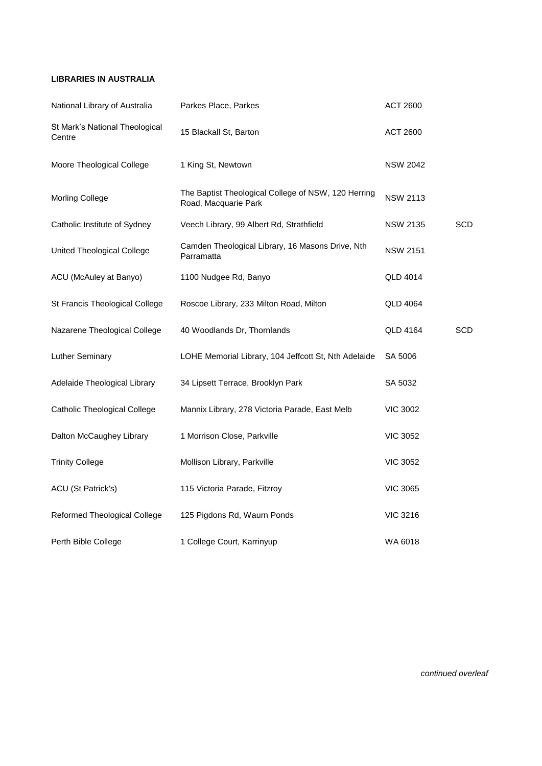## **LIBRARIES IN AUSTRALIA**

| National Library of Australia            | Parkes Place, Parkes                                                        | <b>ACT 2600</b> |            |
|------------------------------------------|-----------------------------------------------------------------------------|-----------------|------------|
| St Mark's National Theological<br>Centre | 15 Blackall St, Barton                                                      | <b>ACT 2600</b> |            |
| Moore Theological College                | 1 King St, Newtown                                                          | <b>NSW 2042</b> |            |
| Morling College                          | The Baptist Theological College of NSW, 120 Herring<br>Road, Macquarie Park | <b>NSW 2113</b> |            |
| Catholic Institute of Sydney             | Veech Library, 99 Albert Rd, Strathfield                                    | <b>NSW 2135</b> | <b>SCD</b> |
| United Theological College               | Camden Theological Library, 16 Masons Drive, Nth<br>Parramatta              | <b>NSW 2151</b> |            |
| ACU (McAuley at Banyo)                   | 1100 Nudgee Rd, Banyo                                                       | QLD 4014        |            |
| St Francis Theological College           | Roscoe Library, 233 Milton Road, Milton                                     | <b>QLD 4064</b> |            |
| Nazarene Theological College             | 40 Woodlands Dr, Thornlands                                                 | <b>QLD 4164</b> | SCD        |
| Luther Seminary                          | LOHE Memorial Library, 104 Jeffcott St, Nth Adelaide                        | SA 5006         |            |
| Adelaide Theological Library             | 34 Lipsett Terrace, Brooklyn Park                                           | SA 5032         |            |
| <b>Catholic Theological College</b>      | Mannix Library, 278 Victoria Parade, East Melb                              | <b>VIC 3002</b> |            |
| Dalton McCaughey Library                 | 1 Morrison Close, Parkville                                                 | <b>VIC 3052</b> |            |
| <b>Trinity College</b>                   | Mollison Library, Parkville                                                 | <b>VIC 3052</b> |            |
| ACU (St Patrick's)                       | 115 Victoria Parade, Fitzroy                                                | <b>VIC 3065</b> |            |
| Reformed Theological College             | 125 Pigdons Rd, Waurn Ponds                                                 | <b>VIC 3216</b> |            |
| Perth Bible College                      | 1 College Court, Karrinyup                                                  | WA 6018         |            |

*continued overleaf*